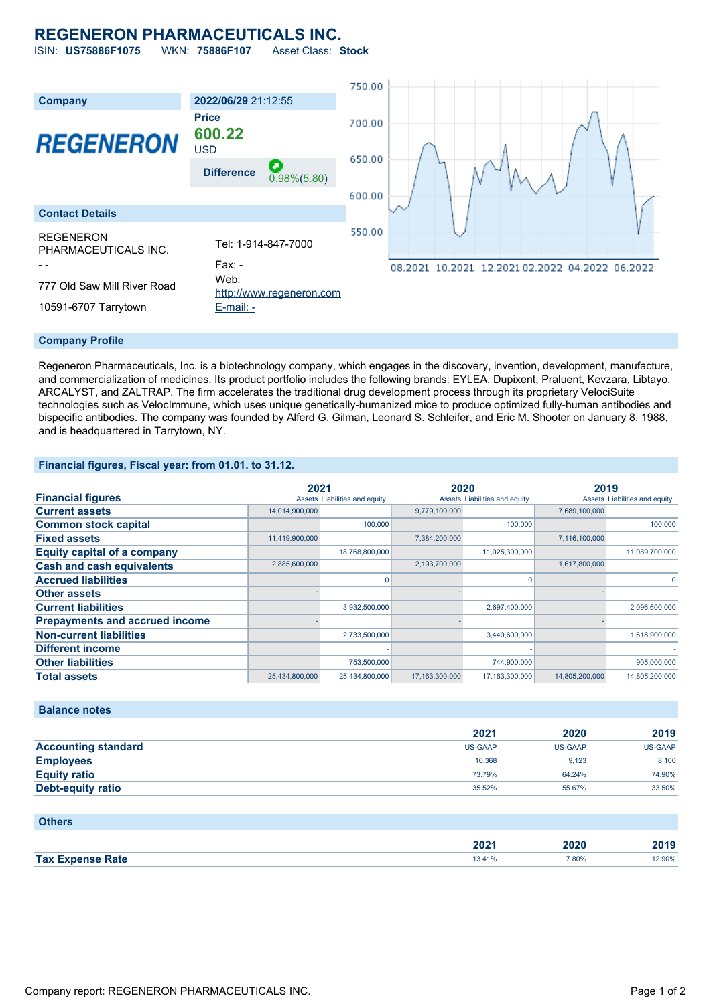# **REGENERON PHARMACEUTICALS INC.**

ISIN: **US75886F1075** WKN: **75886F107** Asset Class: **Stock**



#### **Company Profile**

Regeneron Pharmaceuticals, Inc. is a biotechnology company, which engages in the discovery, invention, development, manufacture, and commercialization of medicines. Its product portfolio includes the following brands: EYLEA, Dupixent, Praluent, Kevzara, Libtayo, ARCALYST, and ZALTRAP. The firm accelerates the traditional drug development process through its proprietary VelociSuite technologies such as VelocImmune, which uses unique genetically-humanized mice to produce optimized fully-human antibodies and bispecific antibodies. The company was founded by Alferd G. Gilman, Leonard S. Schleifer, and Eric M. Shooter on January 8, 1988, and is headquartered in Tarrytown, NY.

### **Financial figures, Fiscal year: from 01.01. to 31.12.**

|                                       | 2021           |                               | 2020           |                               | 2019           |                               |
|---------------------------------------|----------------|-------------------------------|----------------|-------------------------------|----------------|-------------------------------|
| <b>Financial figures</b>              |                | Assets Liabilities and equity |                | Assets Liabilities and equity |                | Assets Liabilities and equity |
| <b>Current assets</b>                 | 14,014,900,000 |                               | 9,779,100,000  |                               | 7,689,100,000  |                               |
| <b>Common stock capital</b>           |                | 100,000                       |                | 100,000                       |                | 100,000                       |
| <b>Fixed assets</b>                   | 11,419,900,000 |                               | 7,384,200,000  |                               | 7,116,100,000  |                               |
| <b>Equity capital of a company</b>    |                | 18,768,800,000                |                | 11,025,300,000                |                | 11,089,700,000                |
| <b>Cash and cash equivalents</b>      | 2,885,600,000  |                               | 2,193,700,000  |                               | 1,617,800,000  |                               |
| <b>Accrued liabilities</b>            |                |                               |                | 0                             |                |                               |
| <b>Other assets</b>                   |                |                               |                |                               |                |                               |
| <b>Current liabilities</b>            |                | 3,932,500,000                 |                | 2,697,400,000                 |                | 2,096,600,000                 |
| <b>Prepayments and accrued income</b> |                |                               |                |                               |                |                               |
| <b>Non-current liabilities</b>        |                | 2,733,500,000                 |                | 3,440,600,000                 |                | 1,618,900,000                 |
| <b>Different income</b>               |                |                               |                |                               |                |                               |
| <b>Other liabilities</b>              |                | 753,500,000                   |                | 744,900,000                   |                | 905,000,000                   |
| <b>Total assets</b>                   | 25,434,800,000 | 25,434,800,000                | 17,163,300,000 | 17,163,300,000                | 14,805,200,000 | 14,805,200,000                |

### **Balance notes**

|                            | 2021           | 2020    | 2019           |
|----------------------------|----------------|---------|----------------|
| <b>Accounting standard</b> | <b>US-GAAP</b> | US-GAAP | <b>US-GAAP</b> |
| <b>Employees</b>           | 10.368         | 9.123   | 8.100          |
| <b>Equity ratio</b>        | 73.79%         | 64.24%  | 74.90%         |
| <b>Debt-equity ratio</b>   | 35.52%         | 55.67%  | 33.50%         |

#### **Others**

|                    | רחר   | .      | $\sim$ |
|--------------------|-------|--------|--------|
|                    | ZUZ ' | AUZU – | 2019   |
| <b>Tax</b><br>Rate | 1941  | 7,80%  | 2.90%  |